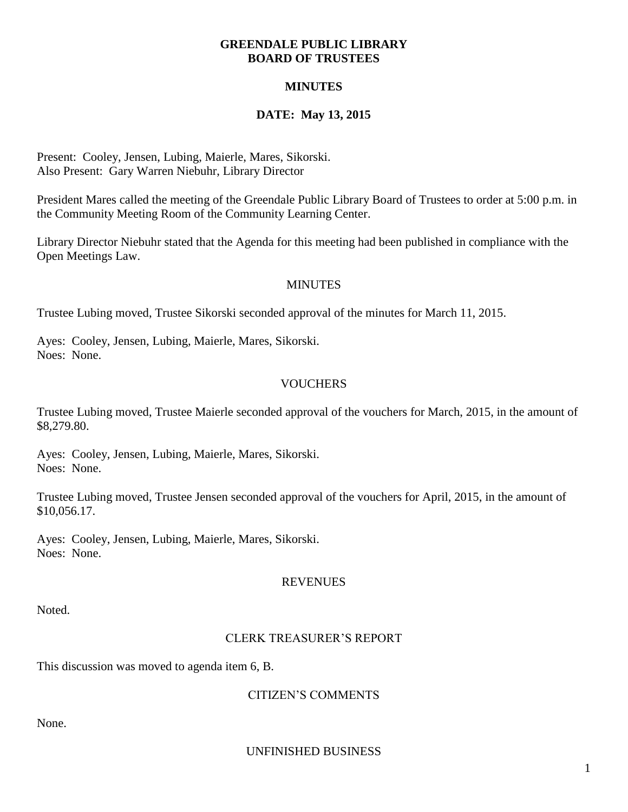#### **GREENDALE PUBLIC LIBRARY BOARD OF TRUSTEES**

## **MINUTES**

# **DATE: May 13, 2015**

Present: Cooley, Jensen, Lubing, Maierle, Mares, Sikorski. Also Present: Gary Warren Niebuhr, Library Director

President Mares called the meeting of the Greendale Public Library Board of Trustees to order at 5:00 p.m. in the Community Meeting Room of the Community Learning Center.

Library Director Niebuhr stated that the Agenda for this meeting had been published in compliance with the Open Meetings Law.

#### **MINUTES**

Trustee Lubing moved, Trustee Sikorski seconded approval of the minutes for March 11, 2015.

Ayes: Cooley, Jensen, Lubing, Maierle, Mares, Sikorski. Noes: None.

## **VOUCHERS**

Trustee Lubing moved, Trustee Maierle seconded approval of the vouchers for March, 2015, in the amount of \$8,279.80.

Ayes: Cooley, Jensen, Lubing, Maierle, Mares, Sikorski. Noes: None.

Trustee Lubing moved, Trustee Jensen seconded approval of the vouchers for April, 2015, in the amount of \$10,056.17.

Ayes: Cooley, Jensen, Lubing, Maierle, Mares, Sikorski. Noes: None.

#### REVENUES

Noted.

## CLERK TREASURER'S REPORT

This discussion was moved to agenda item 6, B.

## CITIZEN'S COMMENTS

None.

UNFINISHED BUSINESS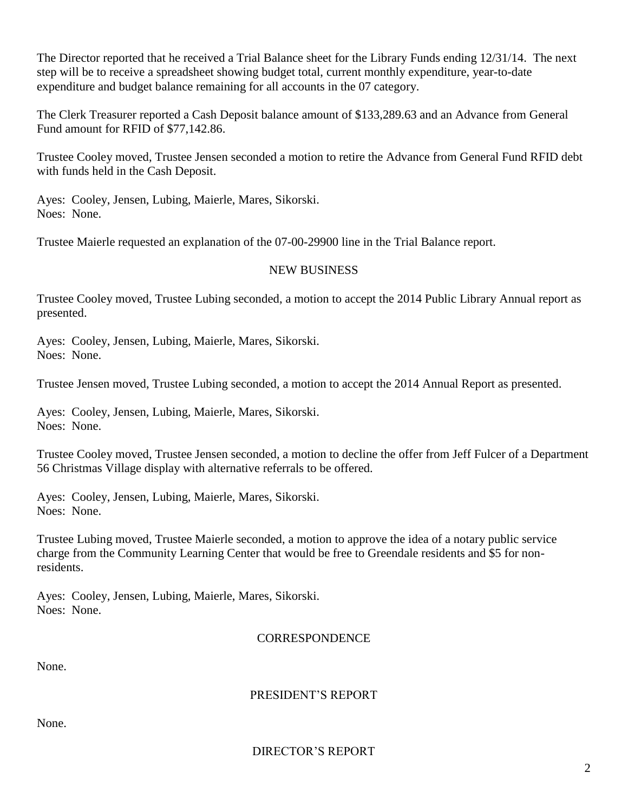The Director reported that he received a Trial Balance sheet for the Library Funds ending 12/31/14. The next step will be to receive a spreadsheet showing budget total, current monthly expenditure, year-to-date expenditure and budget balance remaining for all accounts in the 07 category.

The Clerk Treasurer reported a Cash Deposit balance amount of \$133,289.63 and an Advance from General Fund amount for RFID of \$77,142.86.

Trustee Cooley moved, Trustee Jensen seconded a motion to retire the Advance from General Fund RFID debt with funds held in the Cash Deposit.

Ayes: Cooley, Jensen, Lubing, Maierle, Mares, Sikorski. Noes: None.

Trustee Maierle requested an explanation of the 07-00-29900 line in the Trial Balance report.

#### NEW BUSINESS

Trustee Cooley moved, Trustee Lubing seconded, a motion to accept the 2014 Public Library Annual report as presented.

Ayes: Cooley, Jensen, Lubing, Maierle, Mares, Sikorski. Noes: None.

Trustee Jensen moved, Trustee Lubing seconded, a motion to accept the 2014 Annual Report as presented.

Ayes: Cooley, Jensen, Lubing, Maierle, Mares, Sikorski. Noes: None.

Trustee Cooley moved, Trustee Jensen seconded, a motion to decline the offer from Jeff Fulcer of a Department 56 Christmas Village display with alternative referrals to be offered.

Ayes: Cooley, Jensen, Lubing, Maierle, Mares, Sikorski. Noes: None.

Trustee Lubing moved, Trustee Maierle seconded, a motion to approve the idea of a notary public service charge from the Community Learning Center that would be free to Greendale residents and \$5 for nonresidents.

Ayes: Cooley, Jensen, Lubing, Maierle, Mares, Sikorski. Noes: None.

#### **CORRESPONDENCE**

None.

## PRESIDENT'S REPORT

None.

DIRECTOR'S REPORT